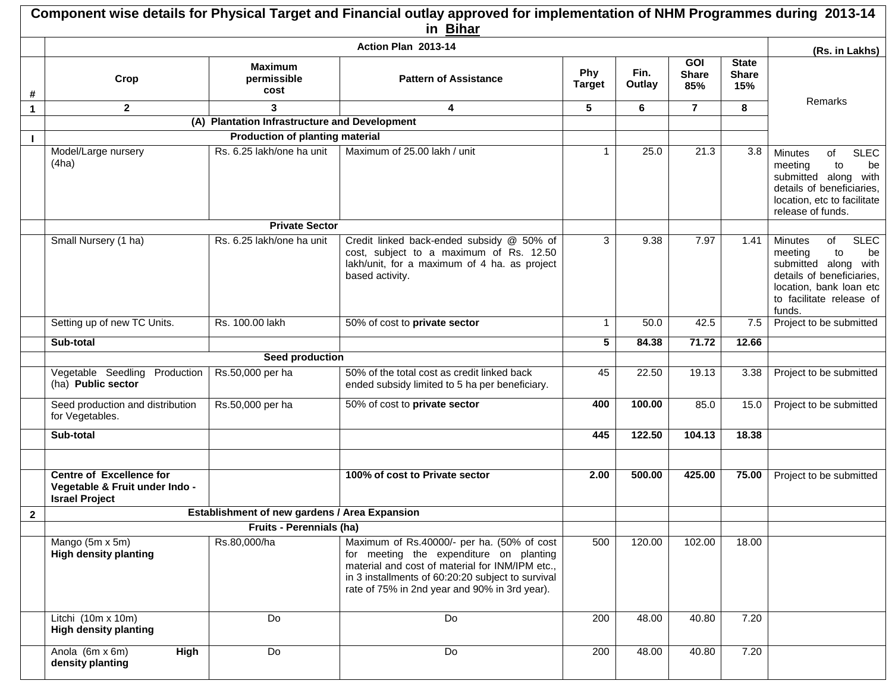|              |                                                                                            |                                               | Component wise details for Physical Target and Financial outlay approved for implementation of NHM Programmes during 2013-14<br>in Bihar                                                                                                       |                      |                |                                   |                                     |                                                                                                                                                                           |  |
|--------------|--------------------------------------------------------------------------------------------|-----------------------------------------------|------------------------------------------------------------------------------------------------------------------------------------------------------------------------------------------------------------------------------------------------|----------------------|----------------|-----------------------------------|-------------------------------------|---------------------------------------------------------------------------------------------------------------------------------------------------------------------------|--|
|              | Action Plan 2013-14                                                                        |                                               |                                                                                                                                                                                                                                                |                      |                |                                   |                                     |                                                                                                                                                                           |  |
| #            | Crop                                                                                       | <b>Maximum</b><br>permissible<br>cost         | <b>Pattern of Assistance</b>                                                                                                                                                                                                                   | Phy<br><b>Target</b> | Fin.<br>Outlay | <b>GOI</b><br><b>Share</b><br>85% | <b>State</b><br><b>Share</b><br>15% | (Rs. in Lakhs)                                                                                                                                                            |  |
| $\mathbf{1}$ | $\mathbf{2}$                                                                               | 3                                             | 4                                                                                                                                                                                                                                              | 5                    | 6              | $\overline{7}$                    | 8                                   | Remarks                                                                                                                                                                   |  |
|              |                                                                                            | (A) Plantation Infrastructure and Development |                                                                                                                                                                                                                                                |                      |                |                                   |                                     |                                                                                                                                                                           |  |
|              |                                                                                            | <b>Production of planting material</b>        |                                                                                                                                                                                                                                                |                      |                |                                   |                                     |                                                                                                                                                                           |  |
|              | Model/Large nursery<br>(4ha)                                                               | Rs. 6.25 lakh/one ha unit                     | Maximum of 25.00 lakh / unit                                                                                                                                                                                                                   | $\mathbf 1$          | 25.0           | 21.3                              | 3.8                                 | of<br><b>SLEC</b><br><b>Minutes</b><br>to<br>be<br>meeting<br>submitted along with<br>details of beneficiaries,<br>location, etc to facilitate<br>release of funds.       |  |
|              |                                                                                            | <b>Private Sector</b>                         |                                                                                                                                                                                                                                                |                      |                |                                   |                                     |                                                                                                                                                                           |  |
|              | Small Nursery (1 ha)                                                                       | Rs. 6.25 lakh/one ha unit                     | Credit linked back-ended subsidy @ 50% of<br>cost, subject to a maximum of Rs. 12.50<br>lakh/unit, for a maximum of 4 ha. as project<br>based activity.                                                                                        | 3                    | 9.38           | 7.97                              | 1.41                                | <b>SLEC</b><br>of<br>Minutes<br>to<br>be<br>meeting<br>submitted along with<br>details of beneficiaries,<br>location, bank loan etc<br>to facilitate release of<br>funds. |  |
|              | Setting up of new TC Units.                                                                | Rs. 100.00 lakh                               | 50% of cost to private sector                                                                                                                                                                                                                  | $\mathbf{1}$         | 50.0           | 42.5                              | 7.5                                 | Project to be submitted                                                                                                                                                   |  |
|              | Sub-total                                                                                  |                                               |                                                                                                                                                                                                                                                | 5 <sup>5</sup>       | 84.38          | 71.72                             | 12.66                               |                                                                                                                                                                           |  |
|              |                                                                                            | Seed production                               |                                                                                                                                                                                                                                                |                      |                |                                   |                                     |                                                                                                                                                                           |  |
|              | Vegetable Seedling Production<br>(ha) Public sector                                        | Rs.50,000 per ha                              | 50% of the total cost as credit linked back<br>ended subsidy limited to 5 ha per beneficiary.                                                                                                                                                  | 45                   | 22.50          | 19.13                             | 3.38                                | Project to be submitted                                                                                                                                                   |  |
|              | Seed production and distribution<br>for Vegetables.                                        | Rs.50,000 per ha                              | 50% of cost to private sector                                                                                                                                                                                                                  | 400                  | 100.00         | 85.0                              | 15.0                                | Project to be submitted                                                                                                                                                   |  |
|              | Sub-total                                                                                  |                                               |                                                                                                                                                                                                                                                | 445                  | 122.50         | 104.13                            | 18.38                               |                                                                                                                                                                           |  |
|              | <b>Centre of Excellence for</b><br>Vegetable & Fruit under Indo -<br><b>Israel Project</b> |                                               | 100% of cost to Private sector                                                                                                                                                                                                                 | 2.00                 | 500.00         | 425.00                            | 75.00                               | Project to be submitted                                                                                                                                                   |  |
| $\mathbf{2}$ |                                                                                            | Establishment of new gardens / Area Expansion |                                                                                                                                                                                                                                                |                      |                |                                   |                                     |                                                                                                                                                                           |  |
|              |                                                                                            | <b>Fruits - Perennials (ha)</b>               |                                                                                                                                                                                                                                                |                      |                |                                   |                                     |                                                                                                                                                                           |  |
|              | Mango (5m x 5m)<br><b>High density planting</b>                                            | Rs.80,000/ha                                  | Maximum of Rs.40000/- per ha. (50% of cost<br>for meeting the expenditure on planting<br>material and cost of material for INM/IPM etc.,<br>in 3 installments of 60:20:20 subject to survival<br>rate of 75% in 2nd year and 90% in 3rd year). | 500                  | 120.00         | 102.00                            | 18.00                               |                                                                                                                                                                           |  |
|              | Litchi (10m x 10m)<br><b>High density planting</b>                                         | Do                                            | Do                                                                                                                                                                                                                                             | 200                  | 48.00          | 40.80                             | 7.20                                |                                                                                                                                                                           |  |
|              | Anola (6m x 6m)<br>High<br>density planting                                                | Do                                            | Do                                                                                                                                                                                                                                             | 200                  | 48.00          | 40.80                             | 7.20                                |                                                                                                                                                                           |  |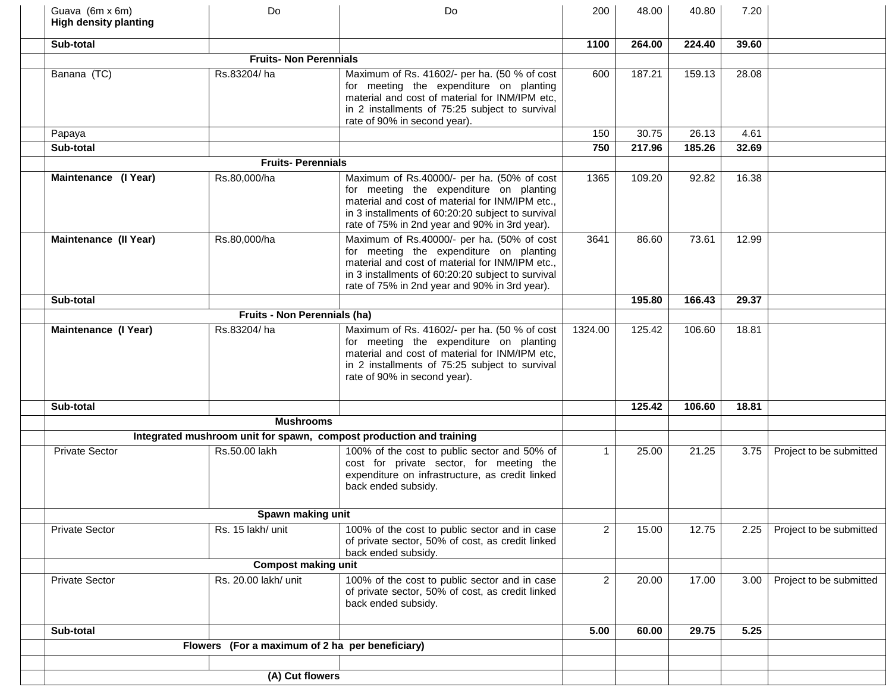| Guava (6m x 6m)<br><b>High density planting</b> | Do                                              | Do                                                                                                                                                                                                                                             | 200            | 48.00  | 40.80  | 7.20  |                         |
|-------------------------------------------------|-------------------------------------------------|------------------------------------------------------------------------------------------------------------------------------------------------------------------------------------------------------------------------------------------------|----------------|--------|--------|-------|-------------------------|
| Sub-total                                       |                                                 |                                                                                                                                                                                                                                                | 1100           | 264.00 | 224.40 | 39.60 |                         |
|                                                 | <b>Fruits- Non Perennials</b>                   |                                                                                                                                                                                                                                                |                |        |        |       |                         |
| Banana (TC)                                     | Rs.83204/ha                                     | Maximum of Rs. 41602/- per ha. (50 % of cost<br>for meeting the expenditure on planting<br>material and cost of material for INM/IPM etc.<br>in 2 installments of 75:25 subject to survival<br>rate of 90% in second year).                    | 600            | 187.21 | 159.13 | 28.08 |                         |
| Papaya                                          |                                                 |                                                                                                                                                                                                                                                | 150            | 30.75  | 26.13  | 4.61  |                         |
| Sub-total                                       |                                                 |                                                                                                                                                                                                                                                | 750            | 217.96 | 185.26 | 32.69 |                         |
|                                                 | <b>Fruits-Perennials</b>                        |                                                                                                                                                                                                                                                |                |        |        |       |                         |
| Maintenance (I Year)                            | Rs.80,000/ha                                    | Maximum of Rs.40000/- per ha. (50% of cost<br>for meeting the expenditure on planting<br>material and cost of material for INM/IPM etc.,<br>in 3 installments of 60:20:20 subject to survival<br>rate of 75% in 2nd year and 90% in 3rd year). | 1365           | 109.20 | 92.82  | 16.38 |                         |
| <b>Maintenance (II Year)</b>                    | Rs.80,000/ha                                    | Maximum of Rs.40000/- per ha. (50% of cost<br>for meeting the expenditure on planting<br>material and cost of material for INM/IPM etc.,<br>in 3 installments of 60:20:20 subject to survival<br>rate of 75% in 2nd year and 90% in 3rd year). | 3641           | 86.60  | 73.61  | 12.99 |                         |
| Sub-total                                       |                                                 |                                                                                                                                                                                                                                                |                | 195.80 | 166.43 | 29.37 |                         |
|                                                 | Fruits - Non Perennials (ha)                    |                                                                                                                                                                                                                                                |                |        |        |       |                         |
| Maintenance (I Year)                            | Rs.83204/ha                                     | Maximum of Rs. 41602/- per ha. (50 % of cost<br>for meeting the expenditure on planting<br>material and cost of material for INM/IPM etc,<br>in 2 installments of 75:25 subject to survival<br>rate of 90% in second year).                    | 1324.00        | 125.42 | 106.60 | 18.81 |                         |
| Sub-total                                       |                                                 |                                                                                                                                                                                                                                                |                | 125.42 | 106.60 | 18.81 |                         |
|                                                 | <b>Mushrooms</b>                                |                                                                                                                                                                                                                                                |                |        |        |       |                         |
|                                                 |                                                 | Integrated mushroom unit for spawn, compost production and training                                                                                                                                                                            |                |        |        |       |                         |
| <b>Private Sector</b>                           | Rs.50.00 lakh                                   | 100% of the cost to public sector and 50% of<br>cost for private sector, for meeting the<br>expenditure on infrastructure, as credit linked<br>back ended subsidy.                                                                             | $\mathbf{1}$   | 25.00  | 21.25  | 3.75  | Project to be submitted |
|                                                 | Spawn making unit                               |                                                                                                                                                                                                                                                |                |        |        |       |                         |
| <b>Private Sector</b>                           | Rs. 15 lakh/ unit                               | 100% of the cost to public sector and in case<br>of private sector, 50% of cost, as credit linked<br>back ended subsidy.                                                                                                                       | $\overline{2}$ | 15.00  | 12.75  | 2.25  | Project to be submitted |
|                                                 | <b>Compost making unit</b>                      |                                                                                                                                                                                                                                                |                |        |        |       |                         |
| <b>Private Sector</b>                           | Rs. 20.00 lakh/ unit                            | 100% of the cost to public sector and in case<br>of private sector, 50% of cost, as credit linked<br>back ended subsidy.                                                                                                                       | $\overline{2}$ | 20.00  | 17.00  | 3.00  | Project to be submitted |
| Sub-total                                       |                                                 |                                                                                                                                                                                                                                                | 5.00           | 60.00  | 29.75  | 5.25  |                         |
|                                                 | Flowers (For a maximum of 2 ha per beneficiary) |                                                                                                                                                                                                                                                |                |        |        |       |                         |
|                                                 | (A) Cut flowers                                 |                                                                                                                                                                                                                                                |                |        |        |       |                         |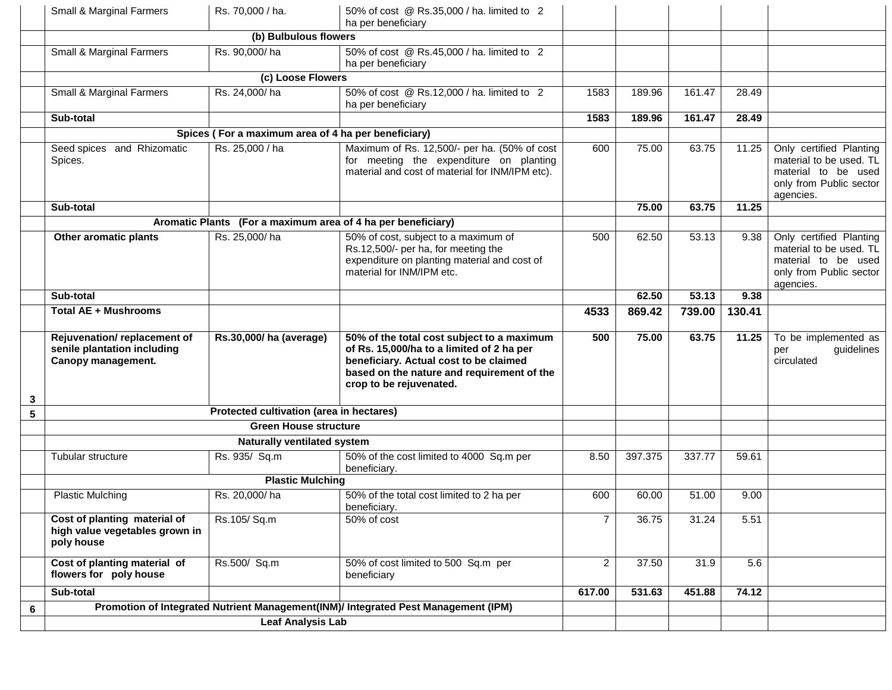|   | Small & Marginal Farmers                                                         | Rs. 70,000 / ha.                                             | 50% of cost @ Rs.35,000 / ha. limited to 2<br>ha per beneficiary                                                                                                                                           |                |         |        |        |                                                                                                                   |
|---|----------------------------------------------------------------------------------|--------------------------------------------------------------|------------------------------------------------------------------------------------------------------------------------------------------------------------------------------------------------------------|----------------|---------|--------|--------|-------------------------------------------------------------------------------------------------------------------|
|   |                                                                                  |                                                              |                                                                                                                                                                                                            |                |         |        |        |                                                                                                                   |
|   | Small & Marginal Farmers                                                         | Rs. 90,000/ha                                                | 50% of cost @ Rs.45,000 / ha. limited to 2<br>ha per beneficiary                                                                                                                                           |                |         |        |        |                                                                                                                   |
|   |                                                                                  | (c) Loose Flowers                                            |                                                                                                                                                                                                            |                |         |        |        |                                                                                                                   |
|   | Small & Marginal Farmers                                                         | Rs. 24,000/ha                                                | 50% of cost @ Rs.12,000 / ha. limited to 2<br>ha per beneficiary                                                                                                                                           | 1583           | 189.96  | 161.47 | 28.49  |                                                                                                                   |
|   | Sub-total                                                                        |                                                              |                                                                                                                                                                                                            | 1583           | 189.96  | 161.47 | 28.49  |                                                                                                                   |
|   |                                                                                  | Spices (For a maximum area of 4 ha per beneficiary)          |                                                                                                                                                                                                            |                |         |        |        |                                                                                                                   |
|   | Seed spices and Rhizomatic<br>Spices.                                            | Rs. 25,000 / ha                                              | Maximum of Rs. 12,500/- per ha. (50% of cost<br>for meeting the expenditure on planting<br>material and cost of material for INM/IPM etc).                                                                 | 600            | 75.00   | 63.75  | 11.25  | Only certified Planting<br>material to be used. TL<br>material to be used<br>only from Public sector<br>agencies. |
|   | Sub-total                                                                        |                                                              |                                                                                                                                                                                                            |                | 75.00   | 63.75  | 11.25  |                                                                                                                   |
|   |                                                                                  | Aromatic Plants (For a maximum area of 4 ha per beneficiary) |                                                                                                                                                                                                            |                |         |        |        |                                                                                                                   |
|   | Other aromatic plants                                                            | Rs. 25,000/ha                                                | 50% of cost, subject to a maximum of<br>Rs.12,500/- per ha, for meeting the<br>expenditure on planting material and cost of<br>material for INM/IPM etc.                                                   | 500            | 62.50   | 53.13  | 9.38   | Only certified Planting<br>material to be used. TL<br>material to be used<br>only from Public sector<br>agencies. |
|   | Sub-total                                                                        |                                                              |                                                                                                                                                                                                            |                | 62.50   | 53.13  | 9.38   |                                                                                                                   |
|   | <b>Total AE + Mushrooms</b>                                                      |                                                              |                                                                                                                                                                                                            | 4533           | 869.42  | 739.00 | 130.41 |                                                                                                                   |
| 3 | Rejuvenation/replacement of<br>senile plantation including<br>Canopy management. | Rs.30,000/ ha (average)                                      | 50% of the total cost subject to a maximum<br>of Rs. 15,000/ha to a limited of 2 ha per<br>beneficiary. Actual cost to be claimed<br>based on the nature and requirement of the<br>crop to be rejuvenated. | 500            | 75.00   | 63.75  | 11.25  | To be implemented as<br>guidelines<br>per<br>circulated                                                           |
| 5 |                                                                                  | Protected cultivation (area in hectares)                     |                                                                                                                                                                                                            |                |         |        |        |                                                                                                                   |
|   |                                                                                  | <b>Green House structure</b>                                 |                                                                                                                                                                                                            |                |         |        |        |                                                                                                                   |
|   |                                                                                  | Naturally ventilated system                                  |                                                                                                                                                                                                            |                |         |        |        |                                                                                                                   |
|   | <b>Tubular structure</b>                                                         | Rs. 935/ Sq.m                                                | 50% of the cost limited to 4000 Sq.m per<br>beneficiary.                                                                                                                                                   | 8.50           | 397.375 | 337.77 | 59.61  |                                                                                                                   |
|   |                                                                                  | <b>Plastic Mulching</b>                                      |                                                                                                                                                                                                            |                |         |        |        |                                                                                                                   |
|   | <b>Plastic Mulching</b>                                                          | Rs. 20,000/ha                                                | 50% of the total cost limited to 2 ha per                                                                                                                                                                  | 600            | 60.00   | 51.00  | 9.00   |                                                                                                                   |
|   |                                                                                  |                                                              | beneficiary.                                                                                                                                                                                               |                |         |        |        |                                                                                                                   |
|   | Cost of planting material of<br>high value vegetables grown in<br>poly house     | Rs.105/Sq.m                                                  | 50% of cost                                                                                                                                                                                                | $\overline{7}$ | 36.75   | 31.24  | 5.51   |                                                                                                                   |
|   | Cost of planting material of<br>flowers for poly house                           | Rs.500/ Sq.m                                                 | 50% of cost limited to 500 Sq.m per<br>beneficiary                                                                                                                                                         | $\overline{2}$ | 37.50   | 31.9   | 5.6    |                                                                                                                   |
|   | Sub-total                                                                        |                                                              |                                                                                                                                                                                                            | 617.00         | 531.63  | 451.88 | 74.12  |                                                                                                                   |
| 6 |                                                                                  | <b>Leaf Analysis Lab</b>                                     | Promotion of Integrated Nutrient Management(INM)/ Integrated Pest Management (IPM)                                                                                                                         |                |         |        |        |                                                                                                                   |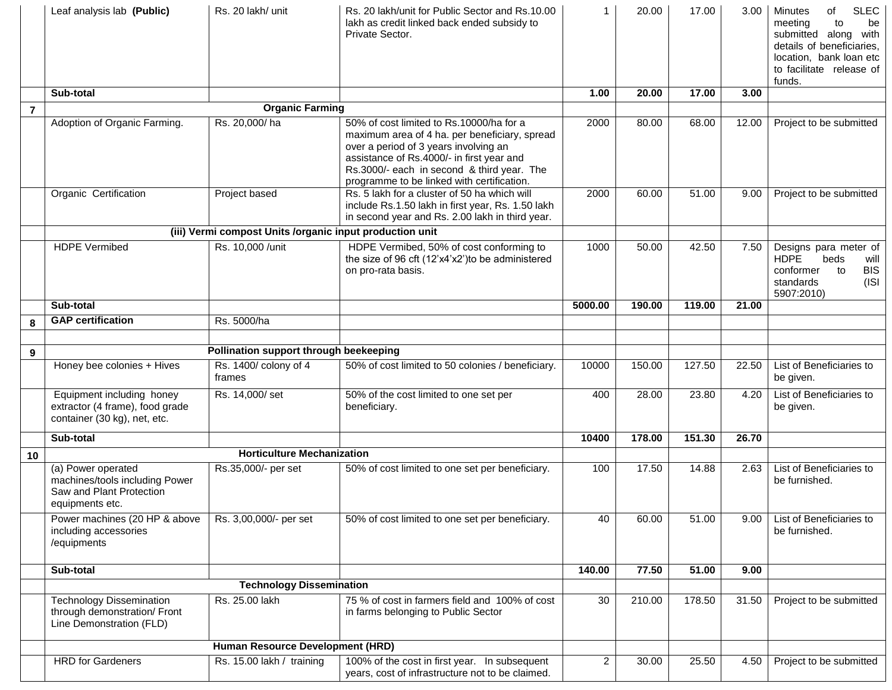|                  | Leaf analysis lab (Public)                                                                          | Rs. 20 lakh/ unit                                        | Rs. 20 lakh/unit for Public Sector and Rs. 10.00<br>lakh as credit linked back ended subsidy to<br>Private Sector.                                                                                                                                                          | $\mathbf{1}$   | 20.00  | 17.00              | 3.00  | <b>SLEC</b><br><b>Minutes</b><br>of<br>meeting<br>to<br>be<br>submitted along with<br>details of beneficiaries,<br>location, bank loan etc<br>to facilitate release of<br>funds. |
|------------------|-----------------------------------------------------------------------------------------------------|----------------------------------------------------------|-----------------------------------------------------------------------------------------------------------------------------------------------------------------------------------------------------------------------------------------------------------------------------|----------------|--------|--------------------|-------|----------------------------------------------------------------------------------------------------------------------------------------------------------------------------------|
|                  | Sub-total                                                                                           |                                                          |                                                                                                                                                                                                                                                                             | 1.00           | 20.00  | 17.00              | 3.00  |                                                                                                                                                                                  |
| $\overline{7}$   |                                                                                                     | <b>Organic Farming</b>                                   |                                                                                                                                                                                                                                                                             |                |        |                    |       |                                                                                                                                                                                  |
|                  | Adoption of Organic Farming.                                                                        | Rs. 20,000/ha                                            | 50% of cost limited to Rs.10000/ha for a<br>maximum area of 4 ha. per beneficiary, spread<br>over a period of 3 years involving an<br>assistance of Rs.4000/- in first year and<br>Rs.3000/- each in second & third year. The<br>programme to be linked with certification. | 2000           | 80.00  | 68.00              | 12.00 | Project to be submitted                                                                                                                                                          |
|                  | Organic Certification                                                                               | Project based                                            | Rs. 5 lakh for a cluster of 50 ha which will<br>include Rs.1.50 lakh in first year, Rs. 1.50 lakh<br>in second year and Rs. 2.00 lakh in third year.                                                                                                                        | 2000           | 60.00  | 51.00              | 9.00  | Project to be submitted                                                                                                                                                          |
|                  |                                                                                                     | (iii) Vermi compost Units /organic input production unit |                                                                                                                                                                                                                                                                             |                |        |                    |       |                                                                                                                                                                                  |
|                  | <b>HDPE</b> Vermibed                                                                                | Rs. 10,000 /unit                                         | HDPE Vermibed, 50% of cost conforming to<br>the size of 96 cft (12'x4'x2') to be administered<br>on pro-rata basis.                                                                                                                                                         | 1000           | 50.00  | 42.50              | 7.50  | Designs para meter of<br><b>HDPE</b><br>beds<br>will<br>conformer<br>to<br><b>BIS</b><br>(ISI<br>standards<br>5907:2010)                                                         |
|                  | Sub-total                                                                                           |                                                          |                                                                                                                                                                                                                                                                             | 5000.00        | 190.00 | 119.00             | 21.00 |                                                                                                                                                                                  |
| 8                | <b>GAP</b> certification                                                                            | Rs. 5000/ha                                              |                                                                                                                                                                                                                                                                             |                |        |                    |       |                                                                                                                                                                                  |
|                  |                                                                                                     |                                                          |                                                                                                                                                                                                                                                                             |                |        |                    |       |                                                                                                                                                                                  |
| $\boldsymbol{9}$ |                                                                                                     | Pollination support through beekeeping                   |                                                                                                                                                                                                                                                                             |                |        |                    |       |                                                                                                                                                                                  |
|                  | Honey bee colonies + Hives                                                                          | Rs. 1400/ colony of 4<br>frames                          | 50% of cost limited to 50 colonies / beneficiary.                                                                                                                                                                                                                           | 10000          | 150.00 | 127.50             | 22.50 | List of Beneficiaries to<br>be given.                                                                                                                                            |
|                  | Equipment including honey<br>extractor (4 frame), food grade<br>container (30 kg), net, etc.        | Rs. 14,000/set                                           | 50% of the cost limited to one set per<br>beneficiary.                                                                                                                                                                                                                      | 400            | 28.00  | 23.80              | 4.20  | List of Beneficiaries to<br>be given.                                                                                                                                            |
|                  | Sub-total                                                                                           |                                                          |                                                                                                                                                                                                                                                                             | 10400          | 178.00 | 151.30             | 26.70 |                                                                                                                                                                                  |
| 10               |                                                                                                     | <b>Horticulture Mechanization</b>                        |                                                                                                                                                                                                                                                                             |                |        |                    |       |                                                                                                                                                                                  |
|                  | (a) Power operated<br>machines/tools including Power<br>Saw and Plant Protection<br>equipments etc. | Rs.35,000/- per set                                      | 50% of cost limited to one set per beneficiary.                                                                                                                                                                                                                             | 100            | 17.50  | 14.88              | 2.63  | List of Beneficiaries to<br>be furnished.                                                                                                                                        |
|                  | Power machines (20 HP & above<br>including accessories<br>/equipments                               | Rs. 3,00,000/- per set                                   | 50% of cost limited to one set per beneficiary.                                                                                                                                                                                                                             | 40             | 60.00  | 51.00              | 9.00  | List of Beneficiaries to<br>be furnished.                                                                                                                                        |
|                  | Sub-total                                                                                           |                                                          |                                                                                                                                                                                                                                                                             | 140.00         | 77.50  | 51.00              | 9.00  |                                                                                                                                                                                  |
|                  |                                                                                                     | <b>Technology Dissemination</b>                          |                                                                                                                                                                                                                                                                             |                |        |                    |       |                                                                                                                                                                                  |
|                  | <b>Technology Dissemination</b><br>through demonstration/ Front<br>Line Demonstration (FLD)         | Rs. 25.00 lakh                                           | 75 % of cost in farmers field and 100% of cost<br>in farms belonging to Public Sector                                                                                                                                                                                       | 30             | 210.00 | 178.50             | 31.50 | Project to be submitted                                                                                                                                                          |
|                  |                                                                                                     | Human Resource Development (HRD)                         |                                                                                                                                                                                                                                                                             |                |        |                    |       |                                                                                                                                                                                  |
|                  | <b>HRD</b> for Gardeners                                                                            | Rs. 15.00 lakh / training                                | 100% of the cost in first year. In subsequent<br>years, cost of infrastructure not to be claimed.                                                                                                                                                                           | $\overline{2}$ | 30.00  | $\overline{2}5.50$ | 4.50  | Project to be submitted                                                                                                                                                          |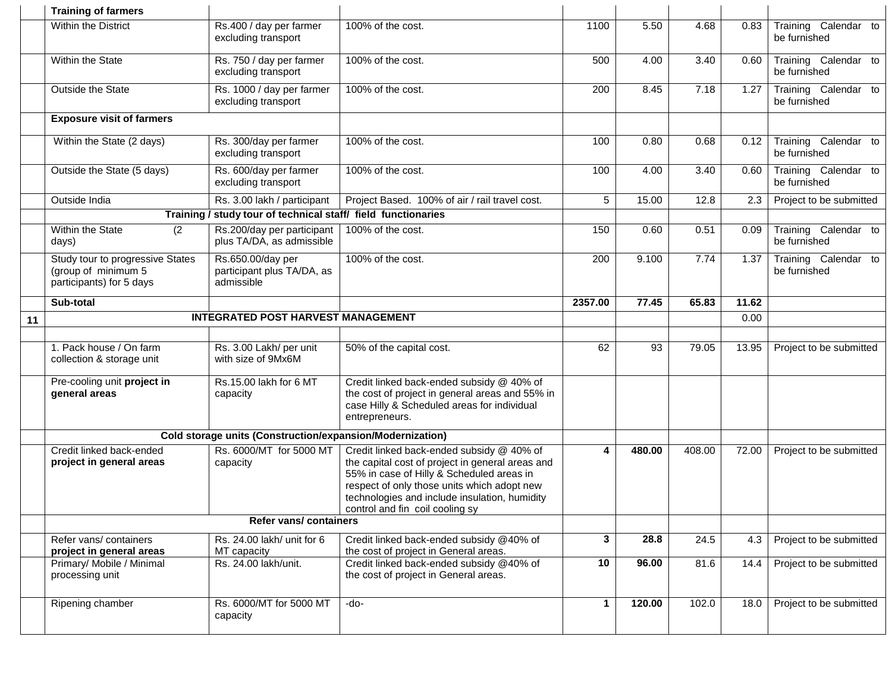|    | <b>Training of farmers</b>                                                          |                                                               |                                                                                                                                                                                                                                                                               |              |        |        |       |                                      |
|----|-------------------------------------------------------------------------------------|---------------------------------------------------------------|-------------------------------------------------------------------------------------------------------------------------------------------------------------------------------------------------------------------------------------------------------------------------------|--------------|--------|--------|-------|--------------------------------------|
|    | <b>Within the District</b>                                                          | Rs.400 / day per farmer<br>excluding transport                | 100% of the cost.                                                                                                                                                                                                                                                             | 1100         | 5.50   | 4.68   | 0.83  | Training Calendar to<br>be furnished |
|    | Within the State                                                                    | Rs. 750 / day per farmer<br>excluding transport               | 100% of the cost.                                                                                                                                                                                                                                                             | 500          | 4.00   | 3.40   | 0.60  | Training Calendar to<br>be furnished |
|    | Outside the State                                                                   | Rs. 1000 / day per farmer<br>excluding transport              | 100% of the cost.                                                                                                                                                                                                                                                             | 200          | 8.45   | 7.18   | 1.27  | Training Calendar to<br>be furnished |
|    | <b>Exposure visit of farmers</b>                                                    |                                                               |                                                                                                                                                                                                                                                                               |              |        |        |       |                                      |
|    | Within the State (2 days)                                                           | Rs. 300/day per farmer<br>excluding transport                 | 100% of the cost.                                                                                                                                                                                                                                                             | 100          | 0.80   | 0.68   | 0.12  | Training Calendar to<br>be furnished |
|    | Outside the State (5 days)                                                          | Rs. 600/day per farmer<br>excluding transport                 | 100% of the cost.                                                                                                                                                                                                                                                             | 100          | 4.00   | 3.40   | 0.60  | Training Calendar to<br>be furnished |
|    | Outside India                                                                       | Rs. 3.00 lakh / participant                                   | Project Based. 100% of air / rail travel cost.                                                                                                                                                                                                                                | 5            | 15.00  | 12.8   | 2.3   | Project to be submitted              |
|    |                                                                                     | Training / study tour of technical staff/ field functionaries |                                                                                                                                                                                                                                                                               |              |        |        |       |                                      |
|    | Within the State<br>(2)<br>days)                                                    | Rs.200/day per participant<br>plus TA/DA, as admissible       | 100% of the cost.                                                                                                                                                                                                                                                             | 150          | 0.60   | 0.51   | 0.09  | Training Calendar to<br>be furnished |
|    | Study tour to progressive States<br>(group of minimum 5<br>participants) for 5 days | Rs.650.00/day per<br>participant plus TA/DA, as<br>admissible | 100% of the cost.                                                                                                                                                                                                                                                             | 200          | 9.100  | 7.74   | 1.37  | Training Calendar to<br>be furnished |
|    | Sub-total                                                                           |                                                               |                                                                                                                                                                                                                                                                               | 2357.00      | 77.45  | 65.83  | 11.62 |                                      |
| 11 |                                                                                     | <b>INTEGRATED POST HARVEST MANAGEMENT</b>                     |                                                                                                                                                                                                                                                                               |              |        |        | 0.00  |                                      |
|    |                                                                                     |                                                               |                                                                                                                                                                                                                                                                               |              |        |        |       |                                      |
|    | 1. Pack house / On farm<br>collection & storage unit                                | Rs. 3.00 Lakh/ per unit<br>with size of 9Mx6M                 | 50% of the capital cost.                                                                                                                                                                                                                                                      | 62           | 93     | 79.05  | 13.95 | Project to be submitted              |
|    | Pre-cooling unit project in<br>general areas                                        | Rs.15.00 lakh for 6 MT<br>capacity                            | Credit linked back-ended subsidy @ 40% of<br>the cost of project in general areas and 55% in<br>case Hilly & Scheduled areas for individual<br>entrepreneurs.                                                                                                                 |              |        |        |       |                                      |
|    |                                                                                     | Cold storage units (Construction/expansion/Modernization)     |                                                                                                                                                                                                                                                                               |              |        |        |       |                                      |
|    | Credit linked back-ended<br>project in general areas                                | Rs. 6000/MT for 5000 MT<br>capacity                           | Credit linked back-ended subsidy @ 40% of<br>the capital cost of project in general areas and<br>55% in case of Hilly & Scheduled areas in<br>respect of only those units which adopt new<br>technologies and include insulation, humidity<br>control and fin coil cooling sy | 4            | 480.00 | 408.00 | 72.00 | Project to be submitted              |
|    | Refer vans/ containers                                                              |                                                               |                                                                                                                                                                                                                                                                               |              |        |        |       |                                      |
|    | Refer vans/containers<br>project in general areas                                   | Rs. 24.00 lakh/ unit for 6<br>MT capacity                     | Credit linked back-ended subsidy @40% of<br>the cost of project in General areas.                                                                                                                                                                                             | $\mathbf{3}$ | 28.8   | 24.5   | 4.3   | Project to be submitted              |
|    | Primary/ Mobile / Minimal                                                           | Rs. 24.00 lakh/unit.                                          | Credit linked back-ended subsidy @40% of                                                                                                                                                                                                                                      | 10           | 96.00  | 81.6   | 14.4  | Project to be submitted              |
|    | processing unit                                                                     |                                                               | the cost of project in General areas.                                                                                                                                                                                                                                         |              |        |        |       |                                      |